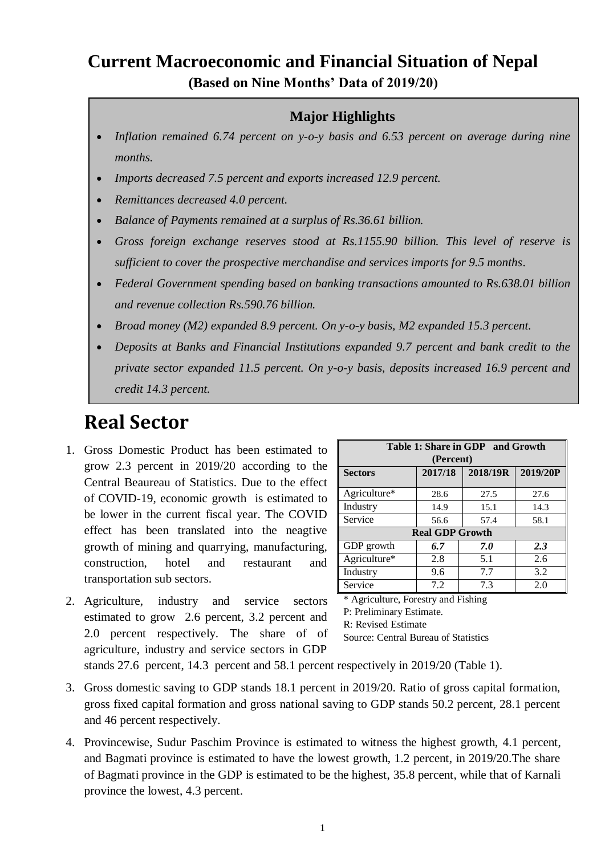## **Current Macroeconomic and Financial Situation of Nepal (Based on Nine Months' Data of 2019/20)**

## **Major Highlights**

- *Inflation remained 6.74 percent on y-o-y basis and 6.53 percent on average during nine months.*
- *Imports decreased 7.5 percent and exports increased 12.9 percent.*
- *Remittances decreased 4.0 percent.*
- *Balance of Payments remained at a surplus of Rs.36.61 billion.*
- *Gross foreign exchange reserves stood at Rs.1155.90 billion. This level of reserve is sufficient to cover the prospective merchandise and services imports for 9.5 months*.
- *Federal Government spending based on banking transactions amounted to Rs.638.01 billion and revenue collection Rs.590.76 billion.*
- *Broad money (M2) expanded 8.9 percent. On y-o-y basis, M2 expanded 15.3 percent.*
- *Deposits at Banks and Financial Institutions expanded 9.7 percent and bank credit to the private sector expanded 11.5 percent. On y-o-y basis, deposits increased 16.9 percent and credit 14.3 percent.*

# **Real Sector**

- 1. Gross Domestic Product has been estimated to grow 2.3 percent in 2019/20 according to the Central Beaureau of Statistics. Due to the effect of COVID-19, economic growth is estimated to be lower in the current fiscal year. The COVID effect has been translated into the neagtive growth of mining and quarrying, manufacturing, construction, hotel and restaurant and transportation sub sectors.
- 2. Agriculture, industry and service sectors estimated to grow 2.6 percent, 3.2 percent and 2.0 percent respectively. The share of of agriculture, industry and service sectors in GDP

| Table 1: Share in GDP and Growth |                                 |            |      |  |  |  |
|----------------------------------|---------------------------------|------------|------|--|--|--|
| (Percent)                        |                                 |            |      |  |  |  |
| <b>Sectors</b>                   | 2018/19R<br>2019/20P<br>2017/18 |            |      |  |  |  |
|                                  |                                 |            |      |  |  |  |
| Agriculture*                     | 28.6                            | 27.5       | 27.6 |  |  |  |
| Industry                         | 14.9                            | 15.1       | 14.3 |  |  |  |
| Service                          | 56.6                            | 57.4       | 58.1 |  |  |  |
| <b>Real GDP Growth</b>           |                                 |            |      |  |  |  |
| GDP growth                       | 6.7                             | 7.0        | 2.3  |  |  |  |
| Agriculture*                     | 2.8                             | 5.1        | 2.6  |  |  |  |
| Industry                         | 9.6                             | 7.7        | 3.2  |  |  |  |
| Service                          | 7.2                             | 7.3<br>2.0 |      |  |  |  |

Agriculture, Forestry and Fishing

P: Preliminary Estimate.

R: Revised Estimate

Source: Central Bureau of Statistics

stands 27.6 percent, 14.3 percent and 58.1 percent respectively in 2019/20 (Table 1).

- 3. Gross domestic saving to GDP stands 18.1 percent in 2019/20. Ratio of gross capital formation, gross fixed capital formation and gross national saving to GDP stands 50.2 percent, 28.1 percent and 46 percent respectively.
- 4. Provincewise, Sudur Paschim Province is estimated to witness the highest growth, 4.1 percent, and Bagmati province is estimated to have the lowest growth, 1.2 percent, in 2019/20.The share of Bagmati province in the GDP is estimated to be the highest, 35.8 percent, while that of Karnali province the lowest, 4.3 percent.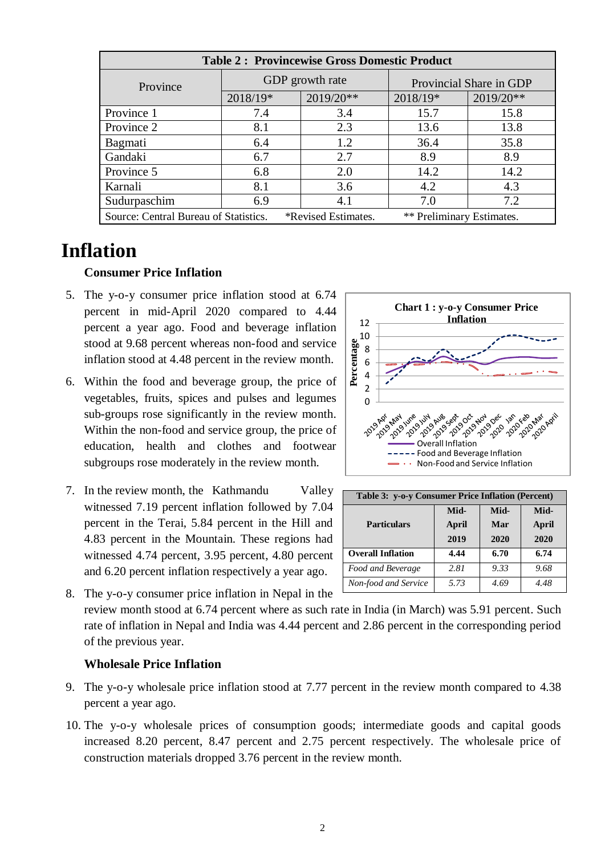| <b>Table 2: Provincewise Gross Domestic Product</b>                                       |          |                 |                         |           |  |  |
|-------------------------------------------------------------------------------------------|----------|-----------------|-------------------------|-----------|--|--|
| Province                                                                                  |          | GDP growth rate | Provincial Share in GDP |           |  |  |
|                                                                                           | 2018/19* | 2019/20**       | 2018/19*                | 2019/20** |  |  |
| Province 1                                                                                | 7.4      | 3.4             | 15.7                    | 15.8      |  |  |
| Province 2                                                                                | 8.1      | 2.3             | 13.6                    | 13.8      |  |  |
| Bagmati                                                                                   | 6.4      | 1.2             | 36.4                    | 35.8      |  |  |
| Gandaki                                                                                   | 6.7      | 2.7             | 8.9                     | 8.9       |  |  |
| Province 5                                                                                | 6.8      | 2.0             | 14.2                    | 14.2      |  |  |
| Karnali                                                                                   | 8.1      | 3.6             | 4.2                     | 4.3       |  |  |
| Sudurpaschim                                                                              | 6.9      | 4.1             | 7.0                     | 7.2       |  |  |
| Source: Central Bureau of Statistics.<br>*Revised Estimates.<br>** Preliminary Estimates. |          |                 |                         |           |  |  |

## **Inflation**

#### **Consumer Price Inflation**

- 5. The y-o-y consumer price inflation stood at 6.74 percent in mid-April 2020 compared to 4.44 percent a year ago. Food and beverage inflation stood at 9.68 percent whereas non-food and service inflation stood at 4.48 percent in the review month.
- 6. Within the food and beverage group, the price of vegetables, fruits, spices and pulses and legumes sub-groups rose significantly in the review month. Within the non-food and service group, the price of education, health and clothes and footwear subgroups rose moderately in the review month.
- 7. In the review month, the Kathmandu Valley witnessed 7.19 percent inflation followed by 7.04 percent in the Terai, 5.84 percent in the Hill and 4.83 percent in the Mountain. These regions had witnessed 4.74 percent, 3.95 percent, 4.80 percent and 6.20 percent inflation respectively a year ago.



| Table 3: y-o-y Consumer Price Inflation (Percent) |       |      |       |  |  |
|---------------------------------------------------|-------|------|-------|--|--|
|                                                   | Mid-  | Mid- | Mid-  |  |  |
| <b>Particulars</b>                                | April | Mar  | April |  |  |
|                                                   | 2019  | 2020 | 2020  |  |  |
| <b>Overall Inflation</b>                          | 4.44  | 6.70 | 6.74  |  |  |
| Food and Beverage                                 | 2.81  | 9.33 | 9.68  |  |  |
| Non-food and Service                              | 5.73  | 4.69 | 4.48  |  |  |

8. The y-o-y consumer price inflation in Nepal in the review month stood at 6.74 percent where as such rate in India (in March) was 5.91 percent. Such rate of inflation in Nepal and India was 4.44 percent and 2.86 percent in the corresponding period of the previous year.

#### **Wholesale Price Inflation**

- 9. The y-o-y wholesale price inflation stood at 7.77 percent in the review month compared to 4.38 percent a year ago.
- 10. The y-o-y wholesale prices of consumption goods; intermediate goods and capital goods increased 8.20 percent, 8.47 percent and 2.75 percent respectively. The wholesale price of construction materials dropped 3.76 percent in the review month.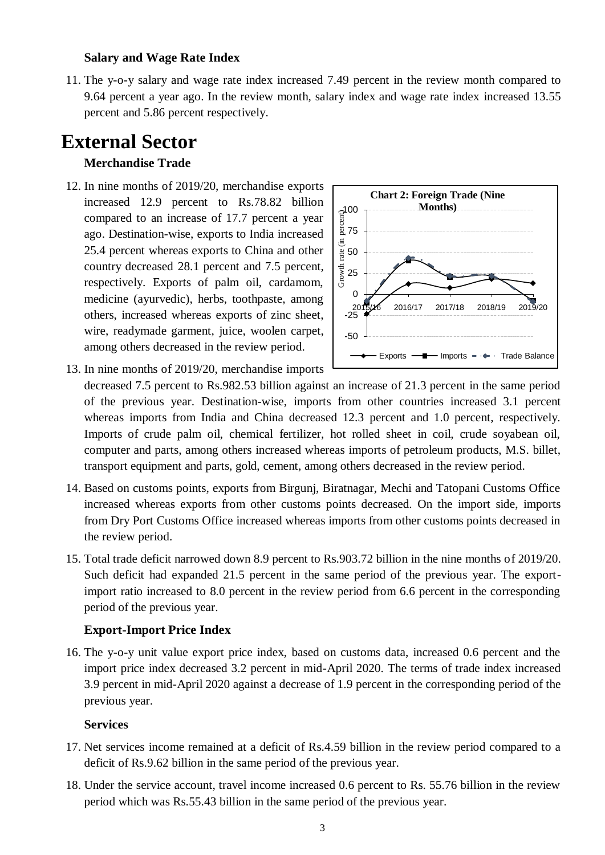#### **Salary and Wage Rate Index**

11. The y-o-y salary and wage rate index increased 7.49 percent in the review month compared to 9.64 percent a year ago. In the review month, salary index and wage rate index increased 13.55 percent and 5.86 percent respectively.

## **External Sector**

#### **Merchandise Trade**

12. In nine months of 2019/20, merchandise exports increased 12.9 percent to Rs.78.82 billion compared to an increase of 17.7 percent a year ago. Destination-wise, exports to India increased 25.4 percent whereas exports to China and other country decreased 28.1 percent and 7.5 percent, respectively. Exports of palm oil, cardamom, medicine (ayurvedic), herbs, toothpaste, among others, increased whereas exports of zinc sheet, wire, readymade garment, juice, woolen carpet, among others decreased in the review period.



13. In nine months of 2019/20, merchandise imports

decreased 7.5 percent to Rs.982.53 billion against an increase of 21.3 percent in the same period of the previous year. Destination-wise, imports from other countries increased 3.1 percent whereas imports from India and China decreased 12.3 percent and 1.0 percent, respectively. Imports of crude palm oil, chemical fertilizer, hot rolled sheet in coil, crude soyabean oil, computer and parts, among others increased whereas imports of petroleum products, M.S. billet, transport equipment and parts, gold, cement, among others decreased in the review period.

- 14. Based on customs points, exports from Birgunj, Biratnagar, Mechi and Tatopani Customs Office increased whereas exports from other customs points decreased. On the import side, imports from Dry Port Customs Office increased whereas imports from other customs points decreased in the review period.
- 15. Total trade deficit narrowed down 8.9 percent to Rs.903.72 billion in the nine months of 2019/20. Such deficit had expanded 21.5 percent in the same period of the previous year. The exportimport ratio increased to 8.0 percent in the review period from 6.6 percent in the corresponding period of the previous year.

#### **Export-Import Price Index**

16. The y-o-y unit value export price index, based on customs data, increased 0.6 percent and the import price index decreased 3.2 percent in mid-April 2020. The terms of trade index increased 3.9 percent in mid-April 2020 against a decrease of 1.9 percent in the corresponding period of the previous year.

#### **Services**

- 17. Net services income remained at a deficit of Rs.4.59 billion in the review period compared to a deficit of Rs.9.62 billion in the same period of the previous year.
- 18. Under the service account, travel income increased 0.6 percent to Rs. 55.76 billion in the review period which was Rs.55.43 billion in the same period of the previous year.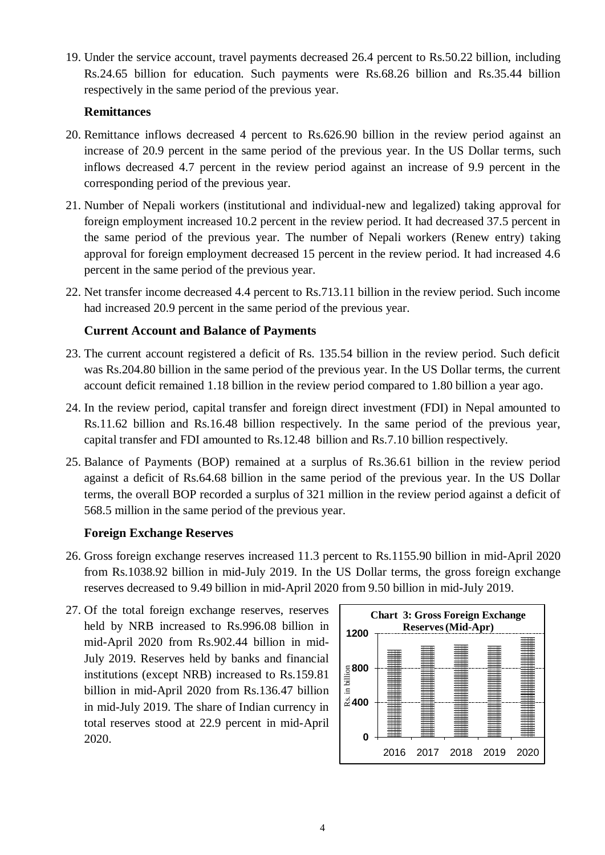19. Under the service account, travel payments decreased 26.4 percent to Rs.50.22 billion, including Rs.24.65 billion for education. Such payments were Rs.68.26 billion and Rs.35.44 billion respectively in the same period of the previous year.

## **Remittances**

- 20. Remittance inflows decreased 4 percent to Rs.626.90 billion in the review period against an increase of 20.9 percent in the same period of the previous year. In the US Dollar terms, such inflows decreased 4.7 percent in the review period against an increase of 9.9 percent in the corresponding period of the previous year.
- 21. Number of Nepali workers (institutional and individual-new and legalized) taking approval for foreign employment increased 10.2 percent in the review period. It had decreased 37.5 percent in the same period of the previous year. The number of Nepali workers (Renew entry) taking approval for foreign employment decreased 15 percent in the review period. It had increased 4.6 percent in the same period of the previous year.
- 22. Net transfer income decreased 4.4 percent to Rs.713.11 billion in the review period. Such income had increased 20.9 percent in the same period of the previous year.

## **Current Account and Balance of Payments**

- 23. The current account registered a deficit of Rs. 135.54 billion in the review period. Such deficit was Rs.204.80 billion in the same period of the previous year. In the US Dollar terms, the current account deficit remained 1.18 billion in the review period compared to 1.80 billion a year ago.
- 24. In the review period, capital transfer and foreign direct investment (FDI) in Nepal amounted to Rs.11.62 billion and Rs.16.48 billion respectively. In the same period of the previous year, capital transfer and FDI amounted to Rs.12.48 billion and Rs.7.10 billion respectively.
- 25. Balance of Payments (BOP) remained at a surplus of Rs.36.61 billion in the review period against a deficit of Rs.64.68 billion in the same period of the previous year. In the US Dollar terms, the overall BOP recorded a surplus of 321 million in the review period against a deficit of 568.5 million in the same period of the previous year.

## **Foreign Exchange Reserves**

- 26. Gross foreign exchange reserves increased 11.3 percent to Rs.1155.90 billion in mid-April 2020 from Rs.1038.92 billion in mid-July 2019. In the US Dollar terms, the gross foreign exchange reserves decreased to 9.49 billion in mid-April 2020 from 9.50 billion in mid-July 2019.
- 27. Of the total foreign exchange reserves, reserves held by NRB increased to Rs.996.08 billion in mid-April 2020 from Rs.902.44 billion in mid-July 2019. Reserves held by banks and financial institutions (except NRB) increased to Rs.159.81 billion in mid-April 2020 from Rs.136.47 billion in mid-July 2019. The share of Indian currency in total reserves stood at 22.9 percent in mid-April 2020.

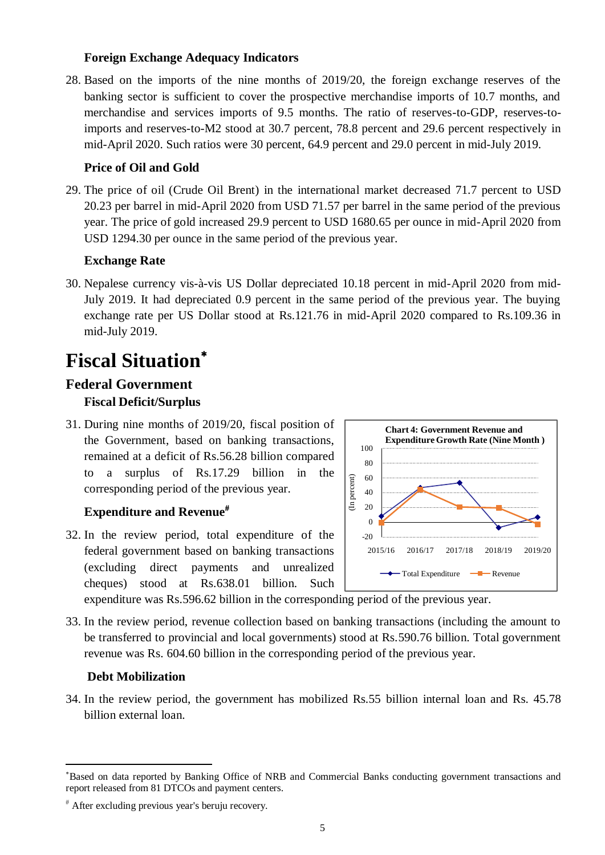### **Foreign Exchange Adequacy Indicators**

28. Based on the imports of the nine months of 2019/20, the foreign exchange reserves of the banking sector is sufficient to cover the prospective merchandise imports of 10.7 months, and merchandise and services imports of 9.5 months. The ratio of reserves-to-GDP, reserves-toimports and reserves-to-M2 stood at 30.7 percent, 78.8 percent and 29.6 percent respectively in mid-April 2020. Such ratios were 30 percent, 64.9 percent and 29.0 percent in mid-July 2019.

## **Price of Oil and Gold**

29. The price of oil (Crude Oil Brent) in the international market decreased 71.7 percent to USD 20.23 per barrel in mid-April 2020 from USD 71.57 per barrel in the same period of the previous year. The price of gold increased 29.9 percent to USD 1680.65 per ounce in mid-April 2020 from USD 1294.30 per ounce in the same period of the previous year.

## **Exchange Rate**

30. Nepalese currency vis-à-vis US Dollar depreciated 10.18 percent in mid-April 2020 from mid-July 2019. It had depreciated 0.9 percent in the same period of the previous year. The buying exchange rate per US Dollar stood at Rs.121.76 in mid-April 2020 compared to Rs.109.36 in mid-July 2019.

# **Fiscal Situation**

## **Federal Government Fiscal Deficit/Surplus**

31. During nine months of 2019/20, fiscal position of the Government, based on banking transactions, remained at a deficit of Rs.56.28 billion compared to a surplus of Rs.17.29 billion in the corresponding period of the previous year.

## **Expenditure and Revenue**

32. In the review period, total expenditure of the federal government based on banking transactions (excluding direct payments and unrealized cheques) stood at Rs.638.01 billion. Such



expenditure was Rs.596.62 billion in the corresponding period of the previous year.

33. In the review period, revenue collection based on banking transactions (including the amount to be transferred to provincial and local governments) stood at Rs.590.76 billion. Total government revenue was Rs. 604.60 billion in the corresponding period of the previous year.

#### **Debt Mobilization**

1

34. In the review period, the government has mobilized Rs.55 billion internal loan and Rs. 45.78 billion external loan.

Based on data reported by Banking Office of NRB and Commercial Banks conducting government transactions and report released from 81 DTCOs and payment centers.

After excluding previous year's beruju recovery.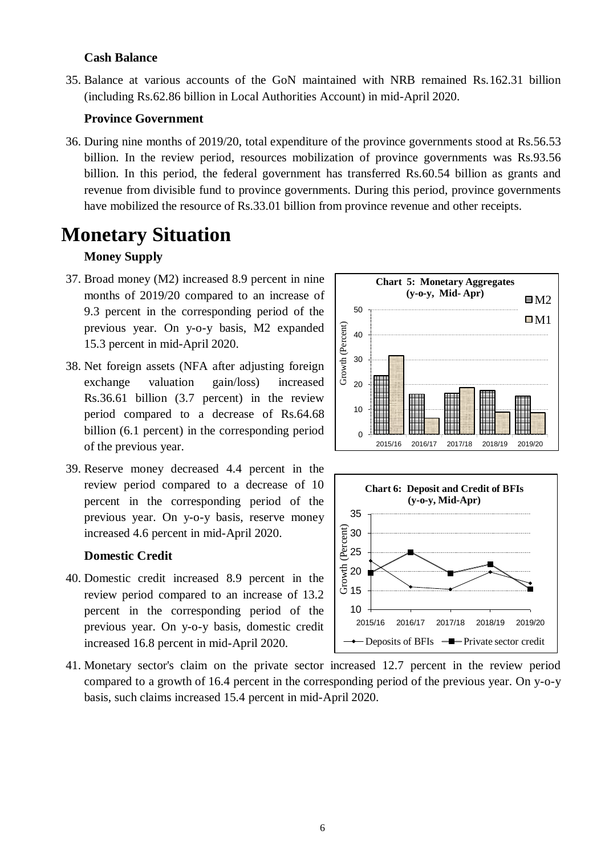#### **Cash Balance**

35. Balance at various accounts of the GoN maintained with NRB remained Rs.162.31 billion (including Rs.62.86 billion in Local Authorities Account) in mid-April 2020.

#### **Province Government**

36. During nine months of 2019/20, total expenditure of the province governments stood at Rs.56.53 billion. In the review period, resources mobilization of province governments was Rs.93.56 billion. In this period, the federal government has transferred Rs.60.54 billion as grants and revenue from divisible fund to province governments. During this period, province governments have mobilized the resource of Rs.33.01 billion from province revenue and other receipts.

## **Monetary Situation**

#### **Money Supply**

- 37. Broad money (M2) increased 8.9 percent in nine months of 2019/20 compared to an increase of 9.3 percent in the corresponding period of the previous year. On y-o-y basis, M2 expanded 15.3 percent in mid-April 2020.
- 38. Net foreign assets (NFA after adjusting foreign exchange valuation gain/loss) increased Rs.36.61 billion (3.7 percent) in the review period compared to a decrease of Rs.64.68 billion (6.1 percent) in the corresponding period of the previous year.
- 39. Reserve money decreased 4.4 percent in the review period compared to a decrease of 10 percent in the corresponding period of the previous year. On y-o-y basis, reserve money increased 4.6 percent in mid-April 2020.

#### **Domestic Credit**

- 40. Domestic credit increased 8.9 percent in the review period compared to an increase of 13.2 percent in the corresponding period of the previous year. On y-o-y basis, domestic credit increased 16.8 percent in mid-April 2020.
- 41. Monetary sector's claim on the private sector increased 12.7 percent in the review period compared to a growth of 16.4 percent in the corresponding period of the previous year. On y-o-y basis, such claims increased 15.4 percent in mid-April 2020.



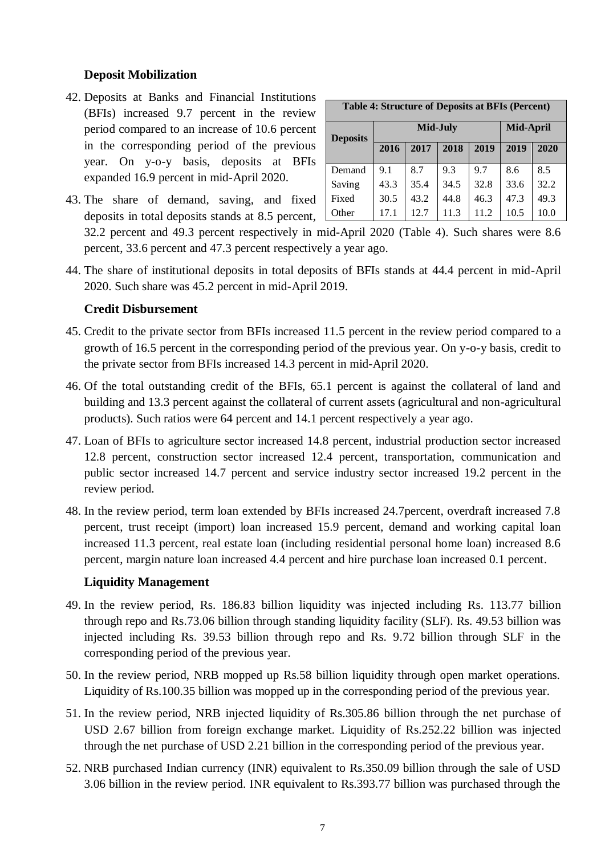#### **Deposit Mobilization**

- 42. Deposits at Banks and Financial Institutions (BFIs) increased 9.7 percent in the review period compared to an increase of 10.6 percent in the corresponding period of the previous year. On y-o-y basis, deposits at BFIs expanded 16.9 percent in mid-April 2020.
- 43. The share of demand, saving, and fixed deposits in total deposits stands at 8.5 percent,

| <b>Table 4: Structure of Deposits at BFIs (Percent)</b> |          |      |              |      |           |      |  |
|---------------------------------------------------------|----------|------|--------------|------|-----------|------|--|
| <b>Deposits</b>                                         | Mid-July |      |              |      | Mid-April |      |  |
|                                                         | 2016     | 2017 | 2018<br>2019 |      | 2019      | 2020 |  |
| Demand                                                  | 9.1      | 8.7  | 9.3          | 9.7  | 8.6       | 8.5  |  |
| Saving                                                  | 43.3     | 35.4 | 34.5         | 32.8 | 33.6      | 32.2 |  |
| Fixed                                                   | 30.5     | 43.2 | 44.8         | 46.3 | 47.3      | 49.3 |  |
| Other                                                   | 17.1     | 12.7 | 11.3         | 11.2 | 10.5      | 10.0 |  |

32.2 percent and 49.3 percent respectively in mid-April 2020 (Table 4). Such shares were 8.6 percent, 33.6 percent and 47.3 percent respectively a year ago.

44. The share of institutional deposits in total deposits of BFIs stands at 44.4 percent in mid-April 2020. Such share was 45.2 percent in mid-April 2019.

#### **Credit Disbursement**

- 45. Credit to the private sector from BFIs increased 11.5 percent in the review period compared to a growth of 16.5 percent in the corresponding period of the previous year. On y-o-y basis, credit to the private sector from BFIs increased 14.3 percent in mid-April 2020.
- 46. Of the total outstanding credit of the BFIs, 65.1 percent is against the collateral of land and building and 13.3 percent against the collateral of current assets (agricultural and non-agricultural products). Such ratios were 64 percent and 14.1 percent respectively a year ago.
- 47. Loan of BFIs to agriculture sector increased 14.8 percent, industrial production sector increased 12.8 percent, construction sector increased 12.4 percent, transportation, communication and public sector increased 14.7 percent and service industry sector increased 19.2 percent in the review period.
- 48. In the review period, term loan extended by BFIs increased 24.7percent, overdraft increased 7.8 percent, trust receipt (import) loan increased 15.9 percent, demand and working capital loan increased 11.3 percent, real estate loan (including residential personal home loan) increased 8.6 percent, margin nature loan increased 4.4 percent and hire purchase loan increased 0.1 percent.

#### **Liquidity Management**

- 49. In the review period, Rs. 186.83 billion liquidity was injected including Rs. 113.77 billion through repo and Rs.73.06 billion through standing liquidity facility (SLF). Rs. 49.53 billion was injected including Rs. 39.53 billion through repo and Rs. 9.72 billion through SLF in the corresponding period of the previous year.
- 50. In the review period, NRB mopped up Rs.58 billion liquidity through open market operations. Liquidity of Rs.100.35 billion was mopped up in the corresponding period of the previous year.
- 51. In the review period, NRB injected liquidity of Rs.305.86 billion through the net purchase of USD 2.67 billion from foreign exchange market. Liquidity of Rs.252.22 billion was injected through the net purchase of USD 2.21 billion in the corresponding period of the previous year.
- 52. NRB purchased Indian currency (INR) equivalent to Rs.350.09 billion through the sale of USD 3.06 billion in the review period. INR equivalent to Rs.393.77 billion was purchased through the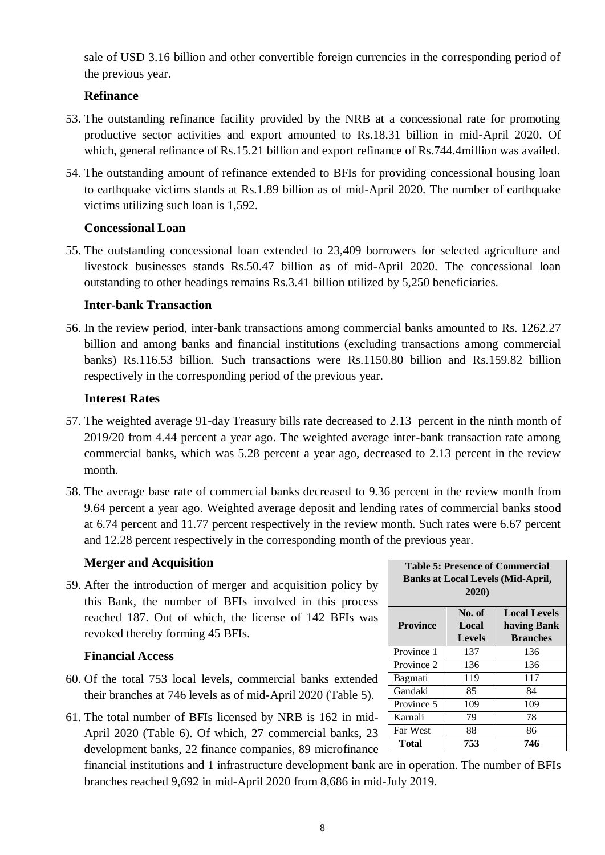sale of USD 3.16 billion and other convertible foreign currencies in the corresponding period of the previous year.

## **Refinance**

- 53. The outstanding refinance facility provided by the NRB at a concessional rate for promoting productive sector activities and export amounted to Rs.18.31 billion in mid-April 2020. Of which, general refinance of Rs.15.21 billion and export refinance of Rs.744.4 million was availed.
- 54. The outstanding amount of refinance extended to BFIs for providing concessional housing loan to earthquake victims stands at Rs.1.89 billion as of mid-April 2020. The number of earthquake victims utilizing such loan is 1,592.

## **Concessional Loan**

55. The outstanding concessional loan extended to 23,409 borrowers for selected agriculture and livestock businesses stands Rs.50.47 billion as of mid-April 2020. The concessional loan outstanding to other headings remains Rs.3.41 billion utilized by 5,250 beneficiaries.

## **Inter-bank Transaction**

56. In the review period, inter-bank transactions among commercial banks amounted to Rs. 1262.27 billion and among banks and financial institutions (excluding transactions among commercial banks) Rs.116.53 billion. Such transactions were Rs.1150.80 billion and Rs.159.82 billion respectively in the corresponding period of the previous year.

## **Interest Rates**

- 57. The weighted average 91-day Treasury bills rate decreased to 2.13 percent in the ninth month of 2019/20 from 4.44 percent a year ago. The weighted average inter-bank transaction rate among commercial banks, which was 5.28 percent a year ago, decreased to 2.13 percent in the review month.
- 58. The average base rate of commercial banks decreased to 9.36 percent in the review month from 9.64 percent a year ago. Weighted average deposit and lending rates of commercial banks stood at 6.74 percent and 11.77 percent respectively in the review month. Such rates were 6.67 percent and 12.28 percent respectively in the corresponding month of the previous year.

## **Merger and Acquisition**

59. After the introduction of merger and acquisition policy by this Bank, the number of BFIs involved in this process reached 187. Out of which, the license of 142 BFIs was revoked thereby forming 45 BFIs.

#### **Financial Access**

- 60. Of the total 753 local levels, commercial banks extended their branches at 746 levels as of mid-April 2020 (Table 5).
- 61. The total number of BFIs licensed by NRB is 162 in mid-April 2020 (Table 6). Of which, 27 commercial banks, 23 development banks, 22 finance companies, 89 microfinance

financial institutions and 1 infrastructure development bank are in operation. The number of BFIs branches reached 9,692 in mid-April 2020 from 8,686 in mid-July 2019.

| <b>Table 5: Presence of Commercial</b><br><b>Banks at Local Levels (Mid-April,</b><br>2020) |                                                                                           |     |  |  |  |  |
|---------------------------------------------------------------------------------------------|-------------------------------------------------------------------------------------------|-----|--|--|--|--|
| <b>Province</b>                                                                             | No. of<br><b>Local Levels</b><br>Local<br>having Bank<br><b>Levels</b><br><b>Branches</b> |     |  |  |  |  |
| Province 1                                                                                  | 137                                                                                       | 136 |  |  |  |  |
| Province 2                                                                                  | 136                                                                                       | 136 |  |  |  |  |
| <b>Bagmati</b>                                                                              | 119                                                                                       | 117 |  |  |  |  |
| Gandaki                                                                                     | 85                                                                                        | 84  |  |  |  |  |
| Province 5                                                                                  | 109                                                                                       | 109 |  |  |  |  |
| Karnali                                                                                     | 79                                                                                        | 78  |  |  |  |  |
| <b>Far West</b>                                                                             | 88                                                                                        | 86  |  |  |  |  |
| 753<br>Total<br>746                                                                         |                                                                                           |     |  |  |  |  |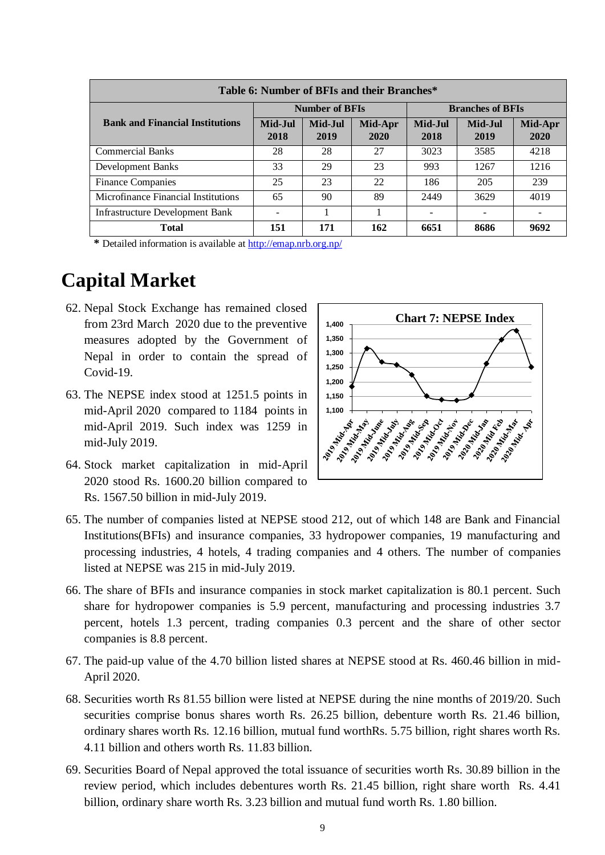| Table 6: Number of BFIs and their Branches* |                       |                 |                 |                         |                 |                 |
|---------------------------------------------|-----------------------|-----------------|-----------------|-------------------------|-----------------|-----------------|
|                                             | <b>Number of BFIs</b> |                 |                 | <b>Branches of BFIs</b> |                 |                 |
| <b>Bank and Financial Institutions</b>      | Mid-Jul<br>2018       | Mid-Jul<br>2019 | Mid-Apr<br>2020 | Mid-Jul<br>2018         | Mid-Jul<br>2019 | Mid-Apr<br>2020 |
| <b>Commercial Banks</b>                     | 28                    | 28              | 27              | 3023                    | 3585            | 4218            |
| <b>Development Banks</b>                    | 33                    | 29              | 23              | 993                     | 1267            | 1216            |
| <b>Finance Companies</b>                    | 25                    | 23              | 22              | 186                     | 205             | 239             |
| Microfinance Financial Institutions         | 65                    | 90              | 89              | 2449                    | 3629            | 4019            |
| <b>Infrastructure Development Bank</b>      |                       |                 |                 |                         |                 |                 |
| <b>Total</b>                                | 151                   | 171             | 162             | 6651                    | 8686            | 9692            |

 **\*** Detailed information is available at<http://emap.nrb.org.np/>

# **Capital Market**

- 62. Nepal Stock Exchange has remained closed from 23rd March 2020 due to the preventive measures adopted by the Government of Nepal in order to contain the spread of Covid-19.
- 63. The NEPSE index stood at 1251.5 points in mid-April 2020 compared to 1184 points in mid-April 2019. Such index was 1259 in mid-July 2019.
- 64. Stock market capitalization in mid-April 2020 stood Rs. 1600.20 billion compared to Rs. 1567.50 billion in mid-July 2019.



- 65. The number of companies listed at NEPSE stood 212, out of which 148 are Bank and Financial Institutions(BFIs) and insurance companies, 33 hydropower companies, 19 manufacturing and processing industries, 4 hotels, 4 trading companies and 4 others. The number of companies listed at NEPSE was 215 in mid-July 2019.
- 66. The share of BFIs and insurance companies in stock market capitalization is 80.1 percent. Such share for hydropower companies is 5.9 percent, manufacturing and processing industries 3.7 percent, hotels 1.3 percent, trading companies 0.3 percent and the share of other sector companies is 8.8 percent.
- 67. The paid-up value of the 4.70 billion listed shares at NEPSE stood at Rs. 460.46 billion in mid-April 2020.
- 68. Securities worth Rs 81.55 billion were listed at NEPSE during the nine months of 2019/20. Such securities comprise bonus shares worth Rs. 26.25 billion, debenture worth Rs. 21.46 billion, ordinary shares worth Rs. 12.16 billion, mutual fund worthRs. 5.75 billion, right shares worth Rs. 4.11 billion and others worth Rs. 11.83 billion.
- 69. Securities Board of Nepal approved the total issuance of securities worth Rs. 30.89 billion in the review period, which includes debentures worth Rs. 21.45 billion, right share worth Rs. 4.41 billion, ordinary share worth Rs. 3.23 billion and mutual fund worth Rs. 1.80 billion.